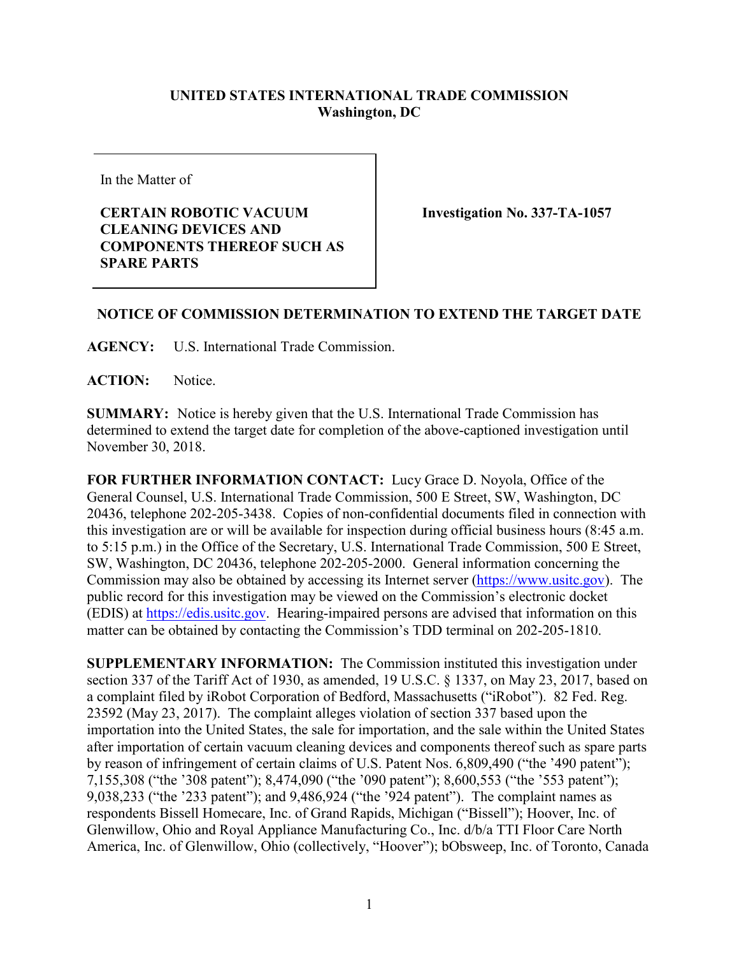## **UNITED STATES INTERNATIONAL TRADE COMMISSION Washington, DC**

In the Matter of

## **CERTAIN ROBOTIC VACUUM CLEANING DEVICES AND COMPONENTS THEREOF SUCH AS SPARE PARTS**

**Investigation No. 337-TA-1057**

## **NOTICE OF COMMISSION DETERMINATION TO EXTEND THE TARGET DATE**

**AGENCY:** U.S. International Trade Commission.

**ACTION:** Notice.

**SUMMARY:** Notice is hereby given that the U.S. International Trade Commission has determined to extend the target date for completion of the above-captioned investigation until November 30, 2018.

**FOR FURTHER INFORMATION CONTACT:** Lucy Grace D. Noyola, Office of the General Counsel, U.S. International Trade Commission, 500 E Street, SW, Washington, DC 20436, telephone 202-205-3438. Copies of non-confidential documents filed in connection with this investigation are or will be available for inspection during official business hours (8:45 a.m. to 5:15 p.m.) in the Office of the Secretary, U.S. International Trade Commission, 500 E Street, SW, Washington, DC 20436, telephone 202-205-2000. General information concerning the Commission may also be obtained by accessing its Internet server [\(https://www.usitc.gov\)](http://www.usitc.gov/). The public record for this investigation may be viewed on the Commission's electronic docket (EDIS) at [https://edis.usitc.gov.](http://edis.usitc.gov/) Hearing-impaired persons are advised that information on this matter can be obtained by contacting the Commission's TDD terminal on 202-205-1810.

**SUPPLEMENTARY INFORMATION:** The Commission instituted this investigation under section 337 of the Tariff Act of 1930, as amended, 19 U.S.C. § 1337, on May 23, 2017, based on a complaint filed by iRobot Corporation of Bedford, Massachusetts ("iRobot"). 82 Fed. Reg. 23592 (May 23, 2017). The complaint alleges violation of section 337 based upon the importation into the United States, the sale for importation, and the sale within the United States after importation of certain vacuum cleaning devices and components thereof such as spare parts by reason of infringement of certain claims of U.S. Patent Nos. 6,809,490 ("the '490 patent"); 7,155,308 ("the '308 patent"); 8,474,090 ("the '090 patent"); 8,600,553 ("the '553 patent"); 9,038,233 ("the '233 patent"); and 9,486,924 ("the '924 patent"). The complaint names as respondents Bissell Homecare, Inc. of Grand Rapids, Michigan ("Bissell"); Hoover, Inc. of Glenwillow, Ohio and Royal Appliance Manufacturing Co., Inc. d/b/a TTI Floor Care North America, Inc. of Glenwillow, Ohio (collectively, "Hoover"); bObsweep, Inc. of Toronto, Canada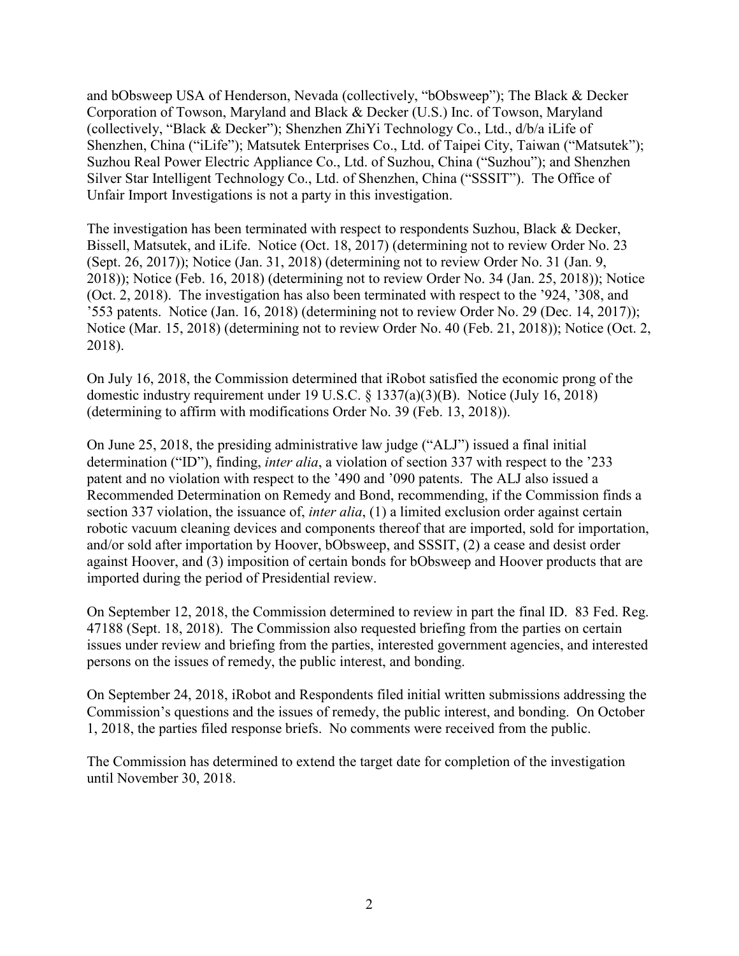and bObsweep USA of Henderson, Nevada (collectively, "bObsweep"); The Black & Decker Corporation of Towson, Maryland and Black & Decker (U.S.) Inc. of Towson, Maryland (collectively, "Black & Decker"); Shenzhen ZhiYi Technology Co., Ltd., d/b/a iLife of Shenzhen, China ("iLife"); Matsutek Enterprises Co., Ltd. of Taipei City, Taiwan ("Matsutek"); Suzhou Real Power Electric Appliance Co., Ltd. of Suzhou, China ("Suzhou"); and Shenzhen Silver Star Intelligent Technology Co., Ltd. of Shenzhen, China ("SSSIT"). The Office of Unfair Import Investigations is not a party in this investigation.

The investigation has been terminated with respect to respondents Suzhou, Black & Decker, Bissell, Matsutek, and iLife. Notice (Oct. 18, 2017) (determining not to review Order No. 23 (Sept. 26, 2017)); Notice (Jan. 31, 2018) (determining not to review Order No. 31 (Jan. 9, 2018)); Notice (Feb. 16, 2018) (determining not to review Order No. 34 (Jan. 25, 2018)); Notice (Oct. 2, 2018). The investigation has also been terminated with respect to the '924, '308, and '553 patents. Notice (Jan. 16, 2018) (determining not to review Order No. 29 (Dec. 14, 2017)); Notice (Mar. 15, 2018) (determining not to review Order No. 40 (Feb. 21, 2018)); Notice (Oct. 2, 2018).

On July 16, 2018, the Commission determined that iRobot satisfied the economic prong of the domestic industry requirement under 19 U.S.C. § 1337(a)(3)(B). Notice (July 16, 2018) (determining to affirm with modifications Order No. 39 (Feb. 13, 2018)).

On June 25, 2018, the presiding administrative law judge ("ALJ") issued a final initial determination ("ID"), finding, *inter alia*, a violation of section 337 with respect to the '233 patent and no violation with respect to the '490 and '090 patents. The ALJ also issued a Recommended Determination on Remedy and Bond, recommending, if the Commission finds a section 337 violation, the issuance of, *inter alia*, (1) a limited exclusion order against certain robotic vacuum cleaning devices and components thereof that are imported, sold for importation, and/or sold after importation by Hoover, bObsweep, and SSSIT, (2) a cease and desist order against Hoover, and (3) imposition of certain bonds for bObsweep and Hoover products that are imported during the period of Presidential review.

On September 12, 2018, the Commission determined to review in part the final ID. 83 Fed. Reg. 47188 (Sept. 18, 2018). The Commission also requested briefing from the parties on certain issues under review and briefing from the parties, interested government agencies, and interested persons on the issues of remedy, the public interest, and bonding.

On September 24, 2018, iRobot and Respondents filed initial written submissions addressing the Commission's questions and the issues of remedy, the public interest, and bonding. On October 1, 2018, the parties filed response briefs. No comments were received from the public.

The Commission has determined to extend the target date for completion of the investigation until November 30, 2018.